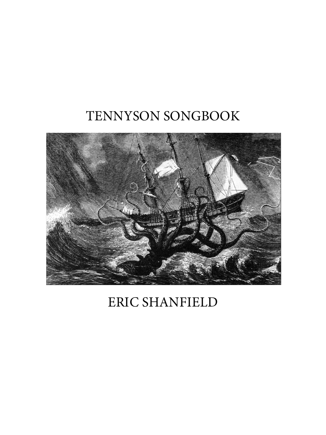

# ERIC SHANFIELD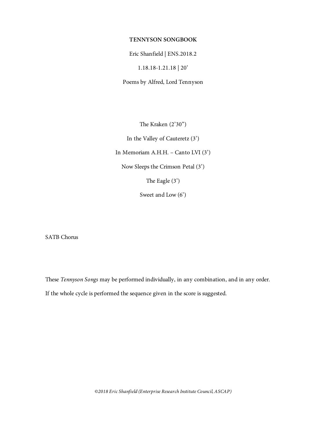Eric Shanfield | ENS.2018.2

1.18.18-1.21.18 | 20'

Poems by Alfred, Lord Tennyson

The Kraken (2'30")

In the Valley of Cauteretz (3')

In Memoriam A.H.H. – Canto LVI (3')

Now Sleeps the Crimson Petal (3')

The Eagle (3')

Sweet and Low (6')

SATB Chorus

These *Tennyson Songs* may be performed individually, in any combination, and in any order.

If the whole cycle is performed the sequence given in the score is suggested.

*©2018 Eric Shanfield (Enterprise Research Institute Council, ASCAP)*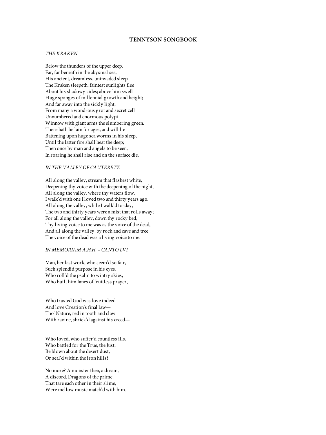#### *THE KRAKEN*

Below the thunders of the upper deep, Far, far beneath in the abysmal sea, His ancient, dreamless, uninvaded sleep The Kraken sleepeth: faintest sunlights flee About his shadowy sides; above him swell Huge sponges of millennial growth and height; And far away into the sickly light, From many a wondrous grot and secret cell Unnumbered and enormous polypi Winnow with giant arms the slumbering green. There hath he lain for ages, and will lie Battening upon huge sea worms in his sleep, Until the latter fire shall heat the deep; Then once by man and angels to be seen, In roaring he shall rise and on the surface die.

#### *IN THE VALLEY OF CAUTERETZ*

All along the valley, stream that flashest white, Deepening thy voice with the deepening of the night, All along the valley, where thy waters flow, I walk'd with one I loved two and thirty years ago. All along the valley, while I walk'd to-day, The two and thirty years were a mist that rolls away; For all along the valley, down thy rocky bed, Thy living voice to me was as the voice of the dead, And all along the valley, by rock and cave and tree, The voice of the dead was a living voice to me.

#### *IN MEMORIAM A.H.H. – CANTO LVI*

Man, her last work, who seem'd so fair, Such splendid purpose in his eyes, Who roll'd the psalm to wintry skies, Who built him fanes of fruitless prayer,

Who trusted God was love indeed And love Creation's final law— Tho' Nature, red in tooth and claw With ravine, shriek'd against his creed—

Who loved, who suffer'd countless ills, Who battled for the True, the Just, Be blown about the desert dust, Or seal'd within the iron hills?

No more? A monster then, a dream, A discord. Dragons of the prime, That tare each other in their slime, Were mellow music match'd with him.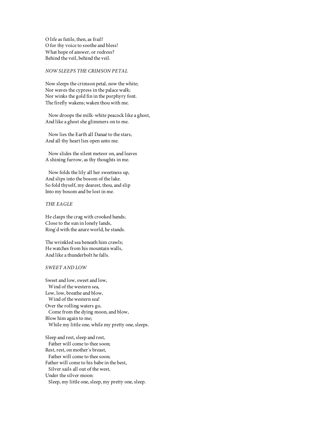O life as futile, then, as frail! O for thy voice to soothe and bless! What hope of answer, or redress? Behind the veil, behind the veil.

#### *NOW SLEEPS THE CRIMSON PETAL*

Now sleeps the crimson petal, now the white; Nor waves the cypress in the palace walk; Nor winks the gold fin in the porphyry font. The firefly wakens; waken thou with me.

 Now droops the milk-white peacock like a ghost, And like a ghost she glimmers on to me.

 Now lies the Earth all Danaë to the stars, And all thy heart lies open unto me.

 Now slides the silent meteor on, and leaves A shining furrow, as thy thoughts in me.

 Now folds the lily all her sweetness up, And slips into the bosom of the lake. So fold thyself, my dearest, thou, and slip Into my bosom and be lost in me.

#### *THE EAGLE*

He clasps the crag with crooked hands; Close to the sun in lonely lands, Ring'd with the azure world, he stands.

The wrinkled sea beneath him crawls; He watches from his mountain walls, And like a thunderbolt he falls.

#### *SWEET AND LOW*

Sweet and low, sweet and low, Wind of the western sea, Low, low, breathe and blow, Wind of the western sea! Over the rolling waters go, Come from the dying moon, and blow, Blow him again to me; While my little one, while my pretty one, sleeps.

Sleep and rest, sleep and rest, Father will come to thee soon; Rest, rest, on mother's breast, Father will come to thee soon; Father will come to his babe in the best, Silver sails all out of the west, Under the silver moon: Sleep, my little one, sleep, my pretty one, sleep.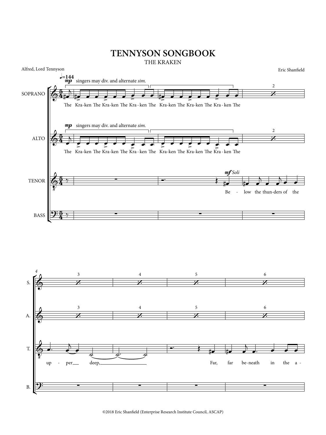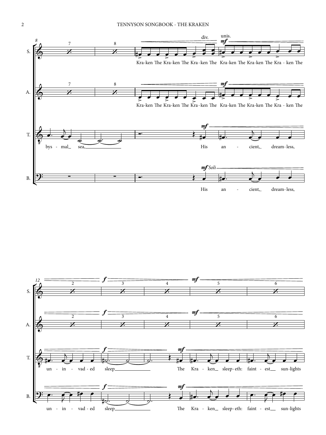

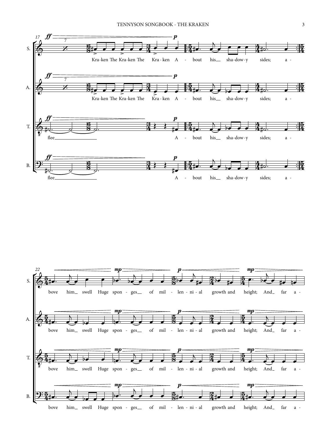

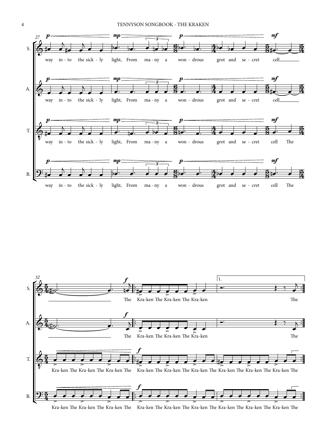

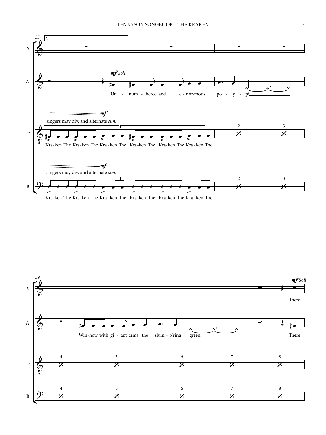

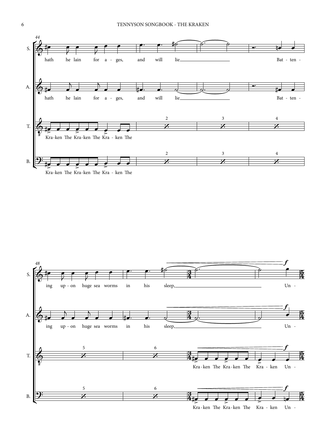



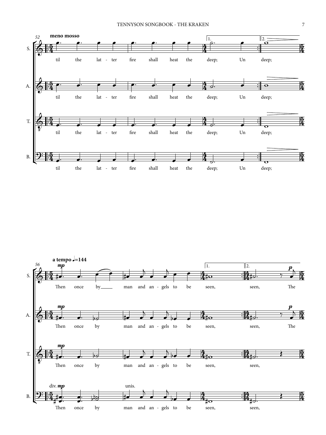

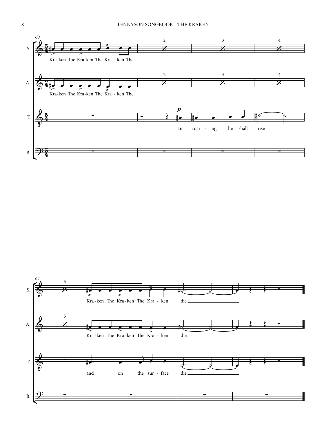



 $\,8\,$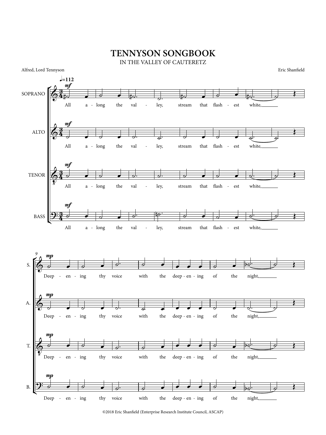IN THE VALLEY OF CAUTERETZ



©2018 Eric Shanfield (Enterprise Research Institute Council, ASCAP)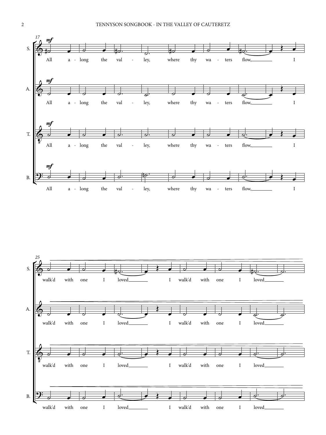

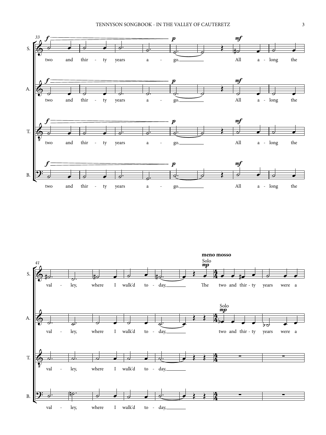

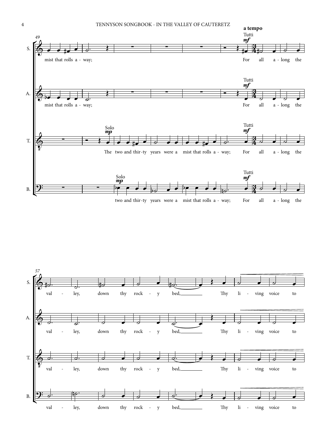

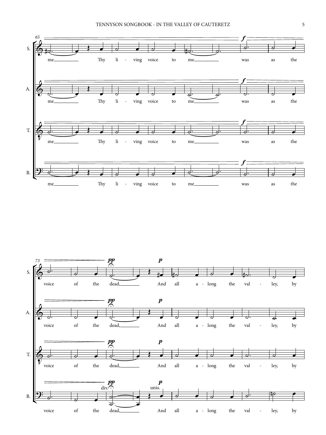

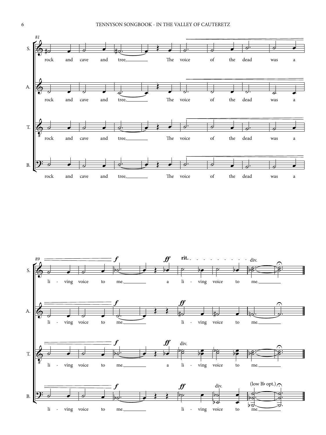

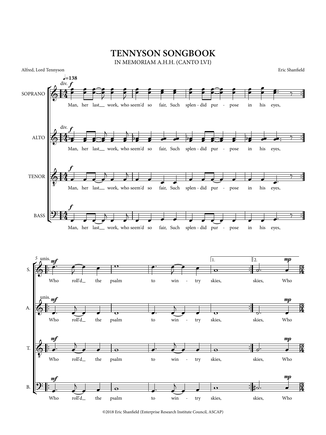



<sup>©2018</sup> Eric Shanfield (Enterprise Research Institute Council, ASCAP)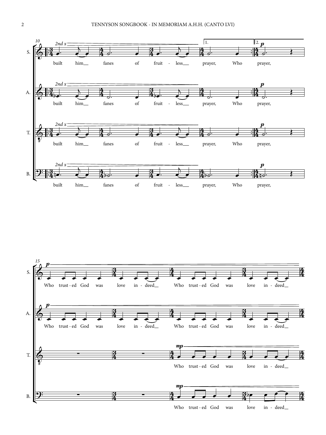

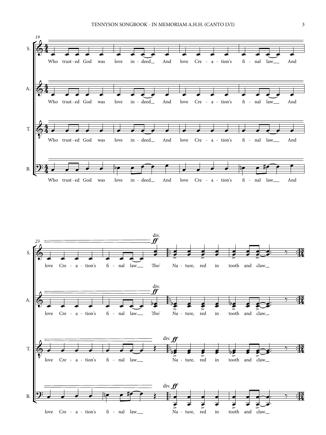

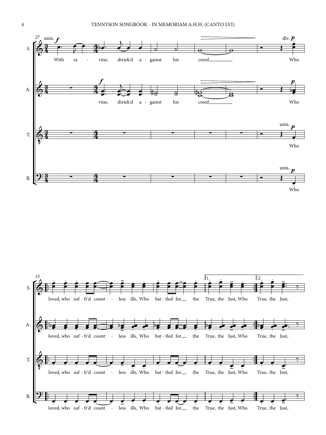



 $\overline{4}$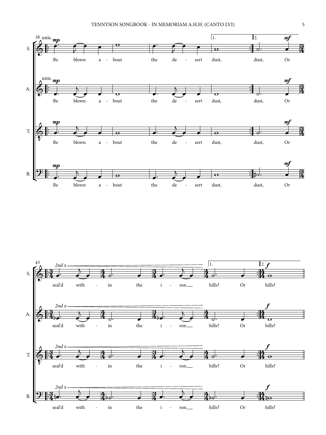

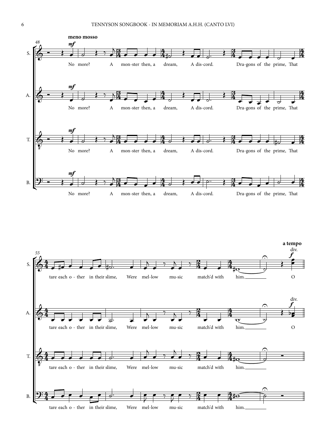

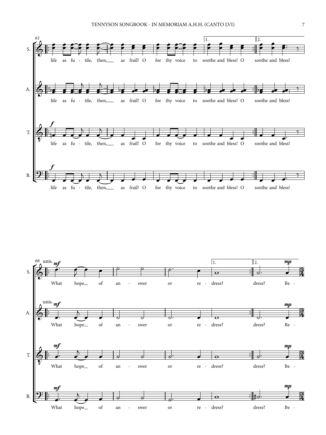

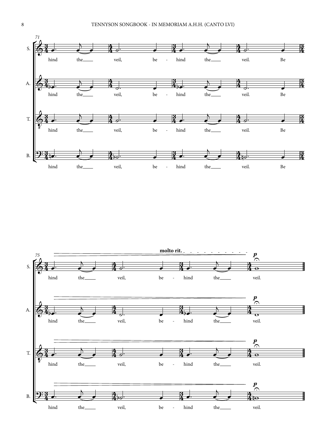

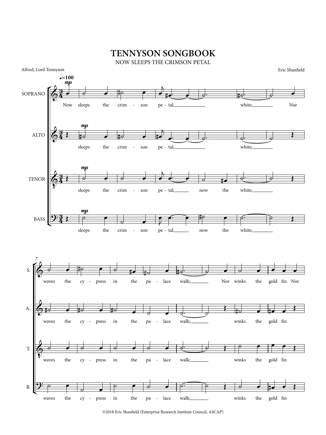



©2018 Eric Shanfield (Enterprise Research Institute Council, ASCAP)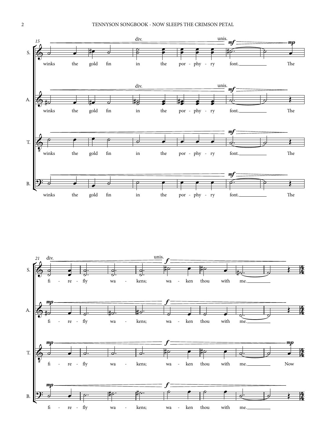

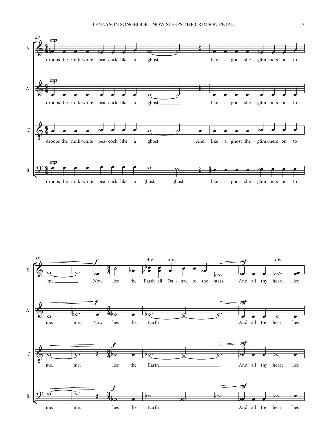

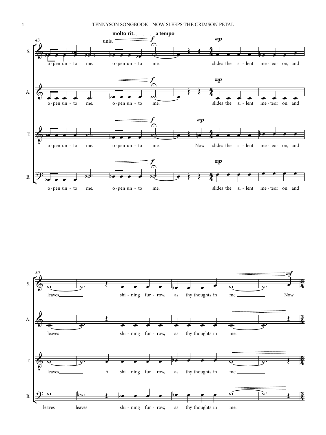

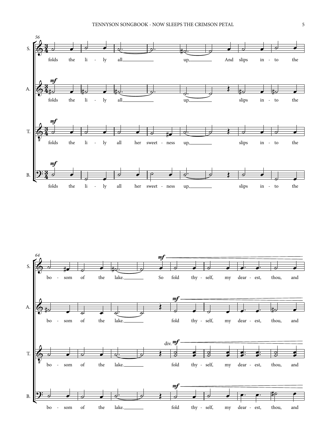

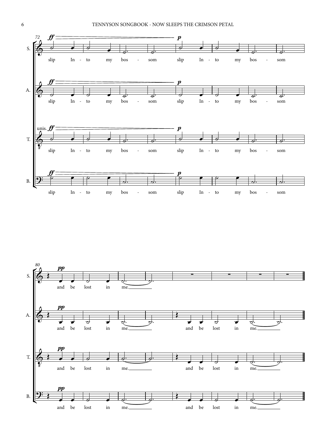

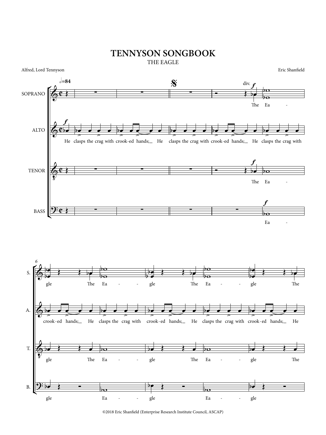### THE EAGLE **TENNYSON SONGBOOK**



©2018 Eric Shanfield (Enterprise Research Institute Council, ASCAP)

Alfred, Lord Tennyson Eric Shanfield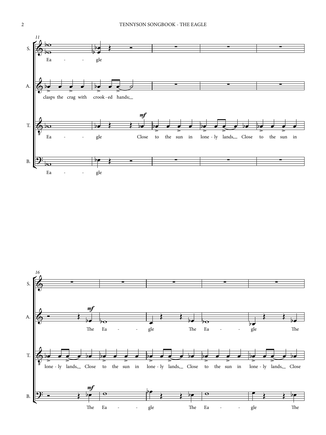

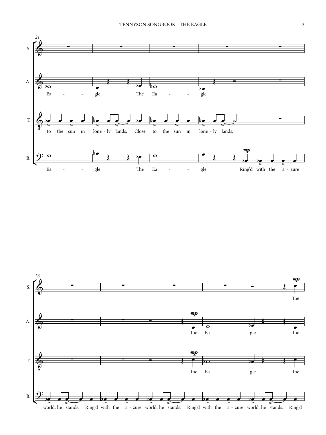

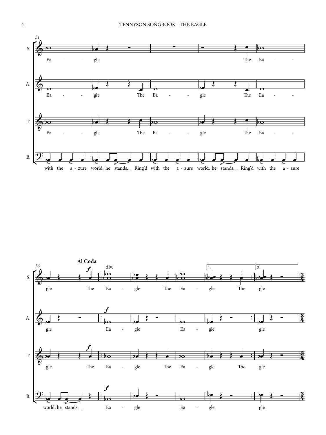

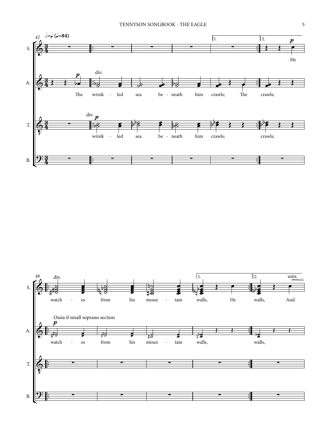

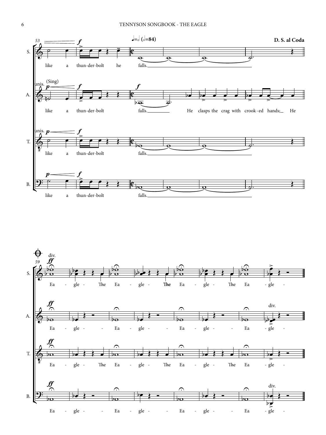

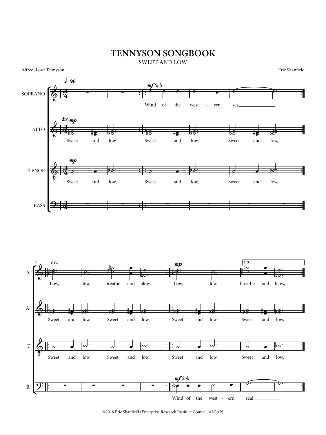SWEET AND LOW



©2018 Eric Shanfield (Enterprise Research Institute Council, ASCAP)

Alfred, Lord Tennyson Eric Shanfield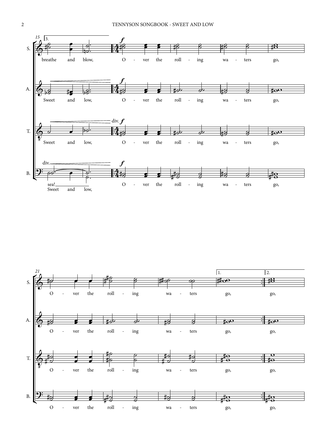

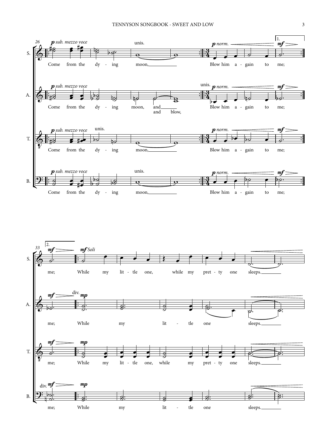

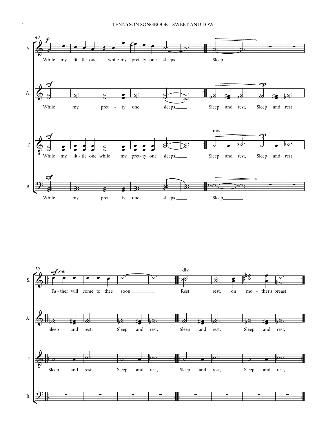

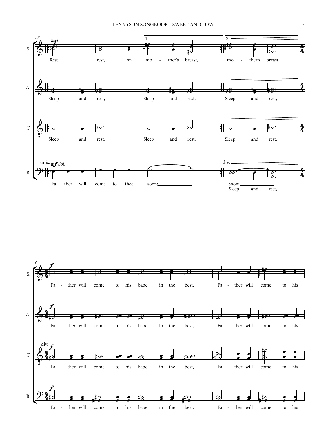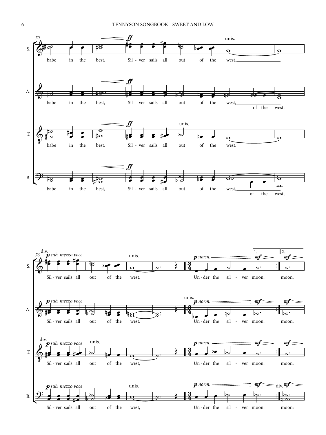